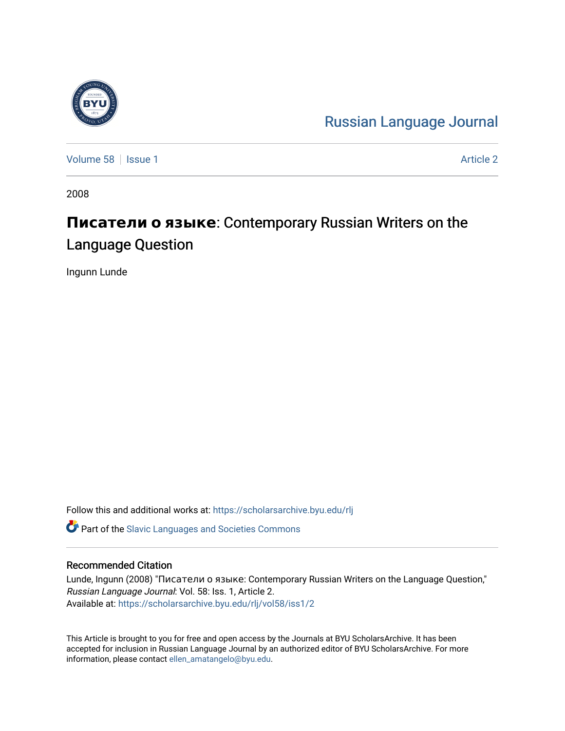

[Russian Language Journal](https://scholarsarchive.byu.edu/rlj) 

[Volume 58](https://scholarsarchive.byu.edu/rlj/vol58) | [Issue 1](https://scholarsarchive.byu.edu/rlj/vol58/iss1) [Article 2](https://scholarsarchive.byu.edu/rlj/vol58/iss1/2) Article 2 Article 2 Article 2 Article 2 Article 2 Article 2 Article 2 Article 2

2008

# Писатели о языке: Contemporary Russian Writers on the Language Question

Ingunn Lunde

Follow this and additional works at: [https://scholarsarchive.byu.edu/rlj](https://scholarsarchive.byu.edu/rlj?utm_source=scholarsarchive.byu.edu%2Frlj%2Fvol58%2Fiss1%2F2&utm_medium=PDF&utm_campaign=PDFCoverPages)

**C** Part of the Slavic Languages and Societies Commons

#### Recommended Citation

Lunde, Ingunn (2008) "Писатели о языке: Contemporary Russian Writers on the Language Question," Russian Language Journal: Vol. 58: Iss. 1, Article 2. Available at: [https://scholarsarchive.byu.edu/rlj/vol58/iss1/2](https://scholarsarchive.byu.edu/rlj/vol58/iss1/2?utm_source=scholarsarchive.byu.edu%2Frlj%2Fvol58%2Fiss1%2F2&utm_medium=PDF&utm_campaign=PDFCoverPages) 

This Article is brought to you for free and open access by the Journals at BYU ScholarsArchive. It has been accepted for inclusion in Russian Language Journal by an authorized editor of BYU ScholarsArchive. For more information, please contact [ellen\\_amatangelo@byu.edu.](mailto:ellen_amatangelo@byu.edu)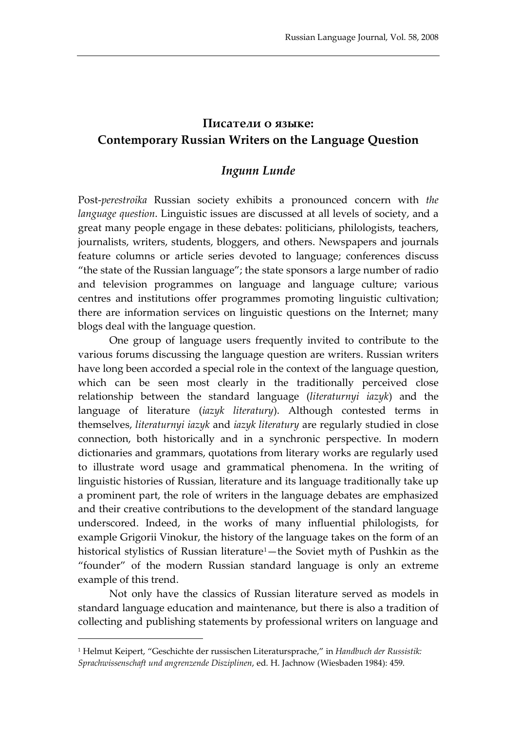# **Писатели о языке: Contemporary Russian Writers on the Language Question**

## *Ingunn Lunde*

Post-*perestroika* Russian society exhibits a pronounced concern with *the language question*. Linguistic issues are discussed at all levels of society, and a great many people engage in these debates: politicians, philologists, teachers, journalists, writers, students, bloggers, and others. Newspapers and journals feature columns or article series devoted to language; conferences discuss "the state of the Russian language"; the state sponsors a large number of radio and television programmes on language and language culture; various centres and institutions offer programmes promoting linguistic cultivation; there are information services on linguistic questions on the Internet; many blogs deal with the language question.

One group of language users frequently invited to contribute to the various forums discussing the language question are writers. Russian writers have long been accorded a special role in the context of the language question, which can be seen most clearly in the traditionally perceived close relationship between the standard language (*literaturnyi iazyk*) and the language of literature (*iazyk literatury*). Although contested terms in themselves, *literaturnyi iazyk* and *iazyk literatury* are regularly studied in close connection, both historically and in a synchronic perspective. In modern dictionaries and grammars, quotations from literary works are regularly used to illustrate word usage and grammatical phenomena. In the writing of linguistic histories of Russian, literature and its language traditionally take up a prominent part, the role of writers in the language debates are emphasized and their creative contributions to the development of the standard language underscored. Indeed, in the works of many influential philologists, for example Grigorii Vinokur, the history of the language takes on the form of an historical stylistics of Russian literature<sup>1</sup>-the Soviet myth of Pushkin as the "founder" of the modern Russian standard language is only an extreme example of this trend.

Not only have the classics of Russian literature served as models in standard language education and maintenance, but there is also a tradition of collecting and publishing statements by professional writers on language and

<span id="page-1-0"></span><sup>1</sup> Helmut Keipert, "Geschichte der russischen Literatursprache," in *Handbuch der Russistik: Sprachwissenschaft und angrenzende Disziplinen*, ed. H. Jachnow (Wiesbaden 1984): 459.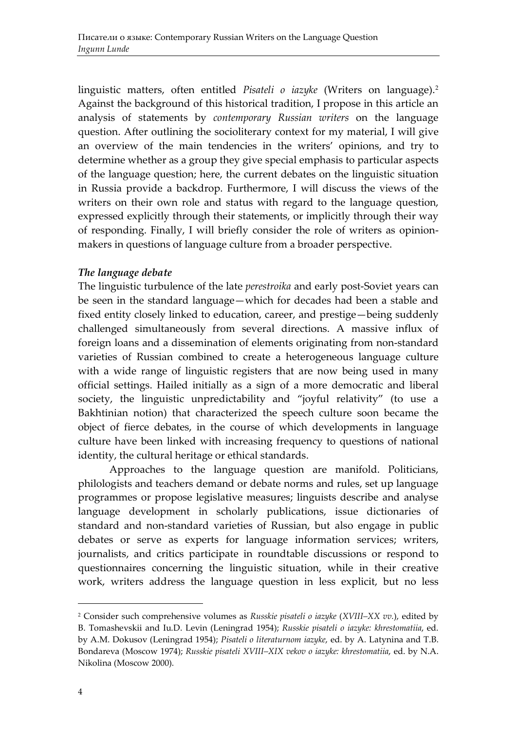linguistic matters, often entitled *Pisateli o iazyke* (Writers on language).[2](#page-2-0) Against the background of this historical tradition, I propose in this article an analysis of statements by *contemporary Russian writers* on the language question. After outlining the socioliterary context for my material, I will give an overview of the main tendencies in the writers' opinions, and try to determine whether as a group they give special emphasis to particular aspects of the language question; here, the current debates on the linguistic situation in Russia provide a backdrop. Furthermore, I will discuss the views of the writers on their own role and status with regard to the language question, expressed explicitly through their statements, or implicitly through their way of responding. Finally, I will briefly consider the role of writers as opinionmakers in questions of language culture from a broader perspective.

### *The language debate*

The linguistic turbulence of the late *perestroika* and early post-Soviet years can be seen in the standard language—which for decades had been a stable and fixed entity closely linked to education, career, and prestige—being suddenly challenged simultaneously from several directions. A massive influx of foreign loans and a dissemination of elements originating from non-standard varieties of Russian combined to create a heterogeneous language culture with a wide range of linguistic registers that are now being used in many official settings. Hailed initially as a sign of a more democratic and liberal society, the linguistic unpredictability and "joyful relativity" (to use a Bakhtinian notion) that characterized the speech culture soon became the object of fierce debates, in the course of which developments in language culture have been linked with increasing frequency to questions of national identity, the cultural heritage or ethical standards.

Approaches to the language question are manifold. Politicians, philologists and teachers demand or debate norms and rules, set up language programmes or propose legislative measures; linguists describe and analyse language development in scholarly publications, issue dictionaries of standard and non-standard varieties of Russian, but also engage in public debates or serve as experts for language information services; writers, journalists, and critics participate in roundtable discussions or respond to questionnaires concerning the linguistic situation, while in their creative work, writers address the language question in less explicit, but no less

<span id="page-2-0"></span><sup>2</sup> Consider such comprehensive volumes as *Russkie pisateli o iazyke* (*XVIII–XX vv.*), edited by B. Tomashevskii and Iu.D. Levin (Leningrad 1954); *Russkie pisateli o iazyke: khrestomatiia*, ed. by A.M. Dokusov (Leningrad 1954); *Pisateli o literaturnom iazyke*, ed. by A. Latynina and T.B. Bondareva (Moscow 1974); *Russkie pisateli XVIII–XIX vekov o iazyke: khrestomatiia*, ed. by N.A. Nikolina (Moscow 2000).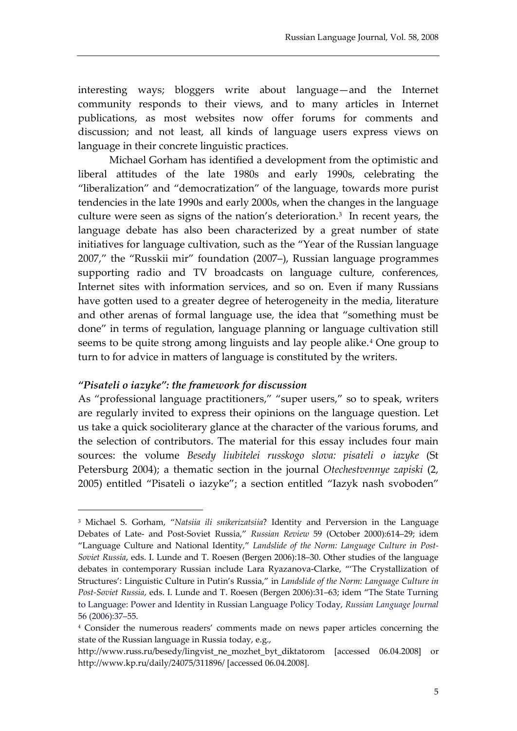interesting ways; bloggers write about language—and the Internet community responds to their views, and to many articles in Internet publications, as most websites now offer forums for comments and discussion; and not least, all kinds of language users express views on language in their concrete linguistic practices.

Michael Gorham has identified a development from the optimistic and liberal attitudes of the late 1980s and early 1990s, celebrating the "liberalization" and "democratization" of the language, towards more purist tendencies in the late 1990s and early 2000s, when the changes in the language culture were seen as signs of the nation's deterioration.[3](#page-3-0) In recent years, the language debate has also been characterized by a great number of state initiatives for language cultivation, such as the "Year of the Russian language 2007," the "Russkii mir" foundation (2007–), Russian language programmes supporting radio and TV broadcasts on language culture, conferences, Internet sites with information services, and so on. Even if many Russians have gotten used to a greater degree of heterogeneity in the media, literature and other arenas of formal language use, the idea that "something must be done" in terms of regulation, language planning or language cultivation still seems to be quite strong among linguists and lay people alike.<sup>[4](#page-3-1)</sup> One group to turn to for advice in matters of language is constituted by the writers.

#### *"Pisateli o iazyke": the framework for discussion*

-

As "professional language practitioners," "super users," so to speak, writers are regularly invited to express their opinions on the language question. Let us take a quick socioliterary glance at the character of the various forums, and the selection of contributors. The material for this essay includes four main sources: the volume *Besedy liubitelei russkogo slova: pisateli o iazyke* (St Petersburg 2004); a thematic section in the journal *Otechestvennye zapiski* (2, 2005) entitled "Pisateli o iazyke"; a section entitled "Iazyk nash svoboden"

<span id="page-3-0"></span><sup>3</sup> Michael S. Gorham, "*Natsiia ili snikerizatsiia*? Identity and Perversion in the Language Debates of Late- and Post-Soviet Russia," *Russian Review* 59 (October 2000):614–29; idem "Language Culture and National Identity," *Landslide of the Norm: Language Culture in Post-Soviet Russia*, eds. I. Lunde and T. Roesen (Bergen 2006):18–30. Other studies of the language debates in contemporary Russian include Lara Ryazanova-Clarke, "'The Crystallization of Structures': Linguistic Culture in Putin's Russia," in *Landslide of the Norm: Language Culture in Post-Soviet Russia*, eds. I. Lunde and T. Roesen (Bergen 2006):31–63; idem "The State Turning to Language: Power and Identity in Russian Language Policy Today, *Russian Language Journal* 56 (2006):37–55.

<span id="page-3-1"></span><sup>4</sup> Consider the numerous readers' comments made on news paper articles concerning the state of the Russian language in Russia today, e.g.,

http://www.russ.ru/besedy/lingvist\_ne\_mozhet\_byt\_diktatorom [accessed 06.04.2008] or http://www.kp.ru/daily/24075/311896/ [accessed 06.04.2008].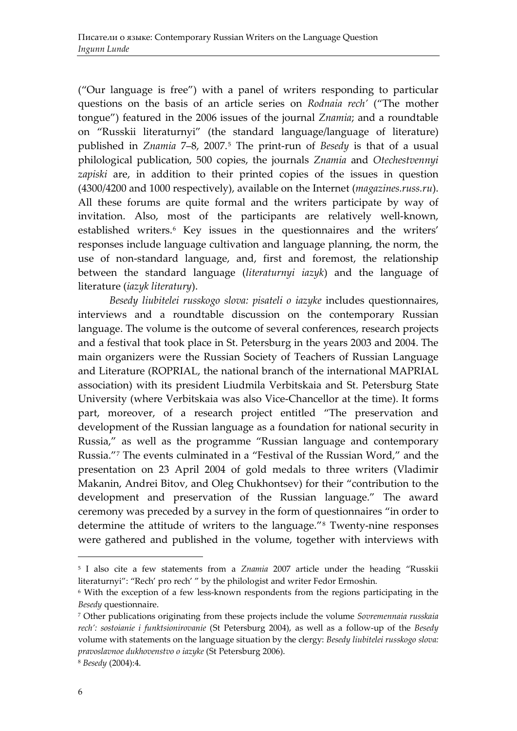("Our language is free") with a panel of writers responding to particular questions on the basis of an article series on *Rodnaia rech'* ("The mother tongue") featured in the 2006 issues of the journal *Znamia*; and a roundtable on "Russkii literaturnyi" (the standard language/language of literature) published in *Znamia* 7–8, 2007.[5](#page-4-0) The print-run of *Besedy* is that of a usual philological publication, 500 copies, the journals *Znamia* and *Otechestvennyi zapiski* are, in addition to their printed copies of the issues in question (4300/4200 and 1000 respectively), available on the Internet (*magazines.russ.ru*). All these forums are quite formal and the writers participate by way of invitation. Also, most of the participants are relatively well-known, established writers.<sup>[6](#page-4-1)</sup> Key issues in the questionnaires and the writers' responses include language cultivation and language planning, the norm, the use of non-standard language, and, first and foremost, the relationship between the standard language (*literaturnyi iazyk*) and the language of literature (*iazyk literatury*).

*Besedy liubitelei russkogo slova: pisateli o iazyke* includes questionnaires, interviews and a roundtable discussion on the contemporary Russian language. The volume is the outcome of several conferences, research projects and a festival that took place in St. Petersburg in the years 2003 and 2004. The main organizers were the Russian Society of Teachers of Russian Language and Literature (ROPRIAL, the national branch of the international MAPRIAL association) with its president Liudmila Verbitskaia and St. Petersburg State University (where Verbitskaia was also Vice-Chancellor at the time). It forms part, moreover, of а research project entitled "The preservation and development of the Russian language as a foundation for national security in Russia," as well as the programme "Russian language and contemporary Russia.["7](#page-4-2) The events culminated in a "Festival of the Russian Word," and the presentation on 23 April 2004 of gold medals to three writers (Vladimir Makanin, Andrei Bitov, and Oleg Chukhontsev) for their "contribution to the development and preservation of the Russian language." The award ceremony was preceded by a survey in the form of questionnaires "in order to determine the attitude of writers to the language."[8](#page-4-3) Twenty-nine responses were gathered and published in the volume, together with interviews with

<span id="page-4-0"></span><sup>5</sup> I also cite a few statements from a *Znamia* 2007 article under the heading "Russkii literaturnyi": "Rech' pro rech' " by the philologist and writer Fedor Ermoshin.

<span id="page-4-1"></span><sup>6</sup> With the exception of a few less-known respondents from the regions participating in the *Besedy* questionnaire.

<span id="page-4-2"></span><sup>7</sup> Other publications originating from these projects include the volume *Sovremennaia russkaia rech': sostoianie i funktsionirovanie* (St Petersburg 2004), as well as a follow-up of the *Besedy*  volume with statements on the language situation by the clergy: *Besedy liubitelei russkogo slova: pravoslavnoe dukhovenstvo o iazyke* (St Petersburg 2006).

<span id="page-4-3"></span><sup>8</sup> *Besedy* (2004):4.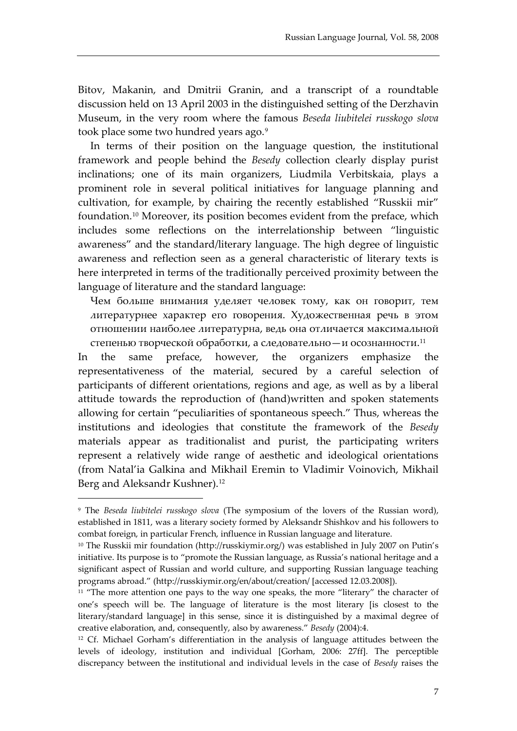Bitov, Makanin, and Dmitrii Granin, and a transcript of a roundtable discussion held on 13 April 2003 in the distinguished setting of the Derzhavin Museum, in the very room where the famous *Beseda liubitelei russkogo slova* took place some two hundred years ago.<sup>[9](#page-5-0)</sup>

In terms of their position on the language question, the institutional framework and people behind the *Besedy* collection clearly display purist inclinations; one of its main organizers, Liudmila Verbitskaia, plays a prominent role in several political initiatives for language planning and cultivation, for example, by chairing the recently established "Russkii mir" foundation.[10](#page-5-1) Moreover, its position becomes evident from the preface, which includes some reflections on the interrelationship between "linguistic awareness" and the standard/literary language. The high degree of linguistic awareness and reflection seen as a general characteristic of literary texts is here interpreted in terms of the traditionally perceived proximity between the language of literature and the standard language:

Чем больше внимания уделяет человек тому, как он говорит, тем литературнее характер его говорения. Художественная речь в этом отношении наиболее литературна, ведь она отличается максимальной степенью творческой обработки, а следовательно—и осознанности.[11](#page-5-2)

In the same preface, however, the organizers emphasize the representativeness of the material, secured by a careful selection of participants of different orientations, regions and age, as well as by a liberal attitude towards the reproduction of (hand)written and spoken statements allowing for certain "peculiarities of spontaneous speech." Thus, whereas the institutions and ideologies that constitute the framework of the *Besedy*  materials appear as traditionalist and purist, the participating writers represent a relatively wide range of aesthetic and ideological orientations (from Natal'ia Galkina and Mikhail Eremin to Vladimir Voinovich, Mikhail Berg and Aleksandr Kushner).[12](#page-5-3)

<span id="page-5-1"></span><span id="page-5-0"></span><sup>9</sup> The *Beseda liubitelei russkogo slova* (The symposium of the lovers of the Russian word), established in 1811, was a literary society formed by Aleksandr Shishkov and his followers to combat foreign, in particular French, influence in Russian language and literature.

<span id="page-5-2"></span><sup>&</sup>lt;sup>10</sup> The Russkii mir foundation (http://russkiymir.org/) was established in July 2007 on Putin's initiative. Its purpose is to "promote the Russian language, as Russia's national heritage and a significant aspect of Russian and world culture, and supporting Russian language teaching programs abroad." (http://russkiymir.org/en/about/creation/ [accessed 12.03.2008]).

<span id="page-5-3"></span><sup>&</sup>lt;sup>11</sup> "The more attention one pays to the way one speaks, the more "literary" the character of one's speech will be. The language of literature is the most literary [is closest to the literary/standard language] in this sense, since it is distinguished by a maximal degree of creative elaboration, and, consequently, also by awareness." *Besedy* (2004):4.

<sup>&</sup>lt;sup>12</sup> Cf. Michael Gorham's differentiation in the analysis of language attitudes between the levels of ideology, institution and individual [Gorham, 2006: 27ff]. The perceptible discrepancy between the institutional and individual levels in the case of *Besedy* raises the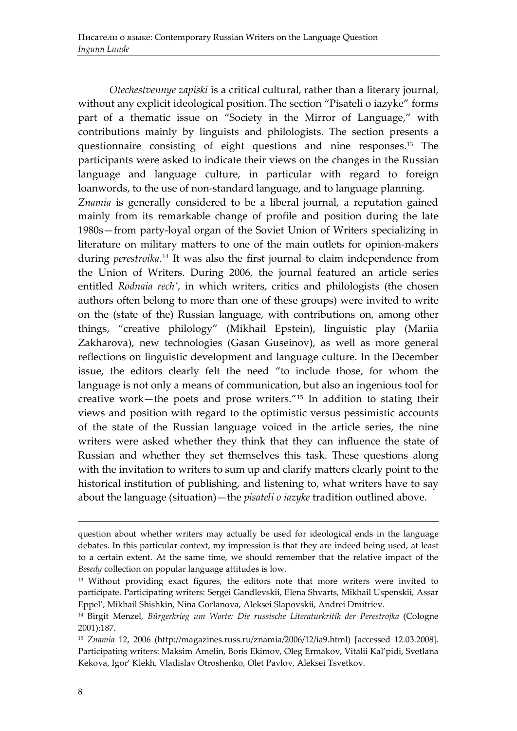*Otechestvennye zapiski* is a critical cultural, rather than a literary journal, without any explicit ideological position. The section "Pisateli o iazyke" forms part of a thematic issue on "Society in the Mirror of Language," with contributions mainly by linguists and philologists. The section presents a questionnaire consisting of eight questions and nine responses. [13](#page-6-0) The participants were asked to indicate their views on the changes in the Russian language and language culture, in particular with regard to foreign loanwords, to the use of non-standard language, and to language planning. *Znamia* is generally considered to be a liberal journal, a reputation gained mainly from its remarkable change of profile and position during the late 1980s—from party-loyal organ of the Soviet Union of Writers specializing in literature on military matters to one of the main outlets for opinion-makers during *perestroika*. [14](#page-6-1) It was also the first journal to claim independence from the Union of Writers. During 2006, the journal featured an article series entitled *Rodnaia rech'*, in which writers, critics and philologists (the chosen authors often belong to more than one of these groups) were invited to write on the (state of the) Russian language, with contributions on, among other things, "creative philology" (Mikhail Epstein), linguistic play (Mariia Zakharova), new technologies (Gasan Guseinov), as well as more general reflections on linguistic development and language culture. In the December issue, the editors clearly felt the need "to include those, for whom the language is not only a means of communication, but also an ingenious tool for creative work—the poets and prose writers."[15](#page-6-2) In addition to stating their views and position with regard to the optimistic versus pessimistic accounts of the state of the Russian language voiced in the article series, the nine writers were asked whether they think that they can influence the state of Russian and whether they set themselves this task. These questions along with the invitation to writers to sum up and clarify matters clearly point to the historical institution of publishing, and listening to, what writers have to say about the language (situation)—the *pisateli o iazyke* tradition outlined above.

question about whether writers may actually be used for ideological ends in the language debates. In this particular context, my impression is that they are indeed being used, at least to a certain extent. At the same time, we should remember that the relative impact of the *Besedy* collection on popular language attitudes is low.

<span id="page-6-0"></span><sup>&</sup>lt;sup>13</sup> Without providing exact figures, the editors note that more writers were invited to participate. Participating writers: Sergei Gandlevskii, Elena Shvarts, Mikhail Uspenskii, Assar Eppel', Mikhail Shishkin, Nina Gorlanova, Aleksei Slapovskii, Andrei Dmitriev.

<span id="page-6-1"></span><sup>14</sup> Birgit Menzel, *Bürgerkrieg um Worte: Die russische Literaturkritik der Perestrojka* (Cologne 2001):187.

<span id="page-6-2"></span><sup>15</sup> *Znamia* 12, 2006 (http://magazines.russ.ru/znamia/2006/12/ia9.html) [accessed 12.03.2008]. Participating writers: Maksim Amelin, Boris Ekimov, Oleg Ermakov, Vitalii Kal'pidi, Svetlana Kekova, Igor' Klekh, Vladislav Otroshenko, Olet Pavlov, Aleksei Tsvetkov.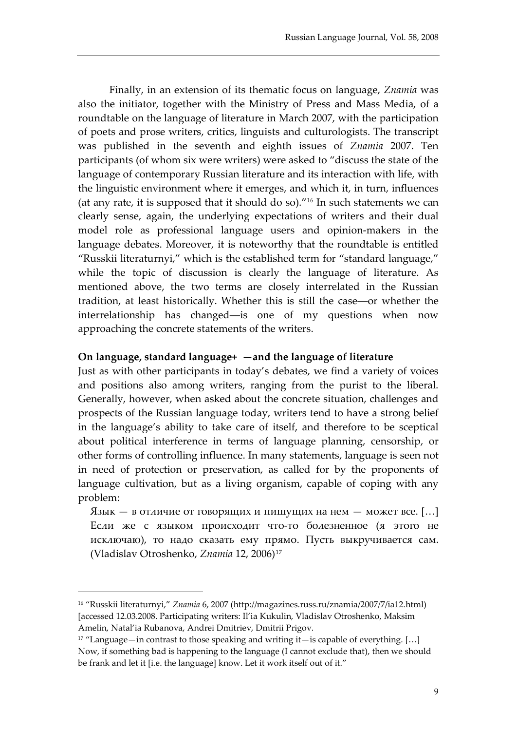Finally, in an extension of its thematic focus on language, *Znamia* was also the initiator, together with the Ministry of Press and Mass Media, of a roundtable on the language of literature in March 2007, with the participation of poets and prose writers, critics, linguists and culturologists. The transcript was published in the seventh and eighth issues of *Znamia* 2007. Ten participants (of whom six were writers) were asked to "discuss the state of the language of contemporary Russian literature and its interaction with life, with the linguistic environment where it emerges, and which it, in turn, influences (at any rate, it is supposed that it should do so)."[16](#page-7-0) In such statements we can clearly sense, again, the underlying expectations of writers and their dual model role as professional language users and opinion-makers in the language debates. Moreover, it is noteworthy that the roundtable is entitled "Russkii literaturnyi," which is the established term for "standard language," while the topic of discussion is clearly the language of literature. As mentioned above, the two terms are closely interrelated in the Russian tradition, at least historically. Whether this is still the case―or whether the interrelationship has changed―is one of my questions when now approaching the concrete statements of the writers.

#### **On language, standard language+ —and the language of literature**

Just as with other participants in today's debates, we find a variety of voices and positions also among writers, ranging from the purist to the liberal. Generally, however, when asked about the concrete situation, challenges and prospects of the Russian language today, writers tend to have a strong belief in the language's ability to take care of itself, and therefore to be sceptical about political interference in terms of language planning, censorship, or other forms of controlling influence. In many statements, language is seen not in need of protection or preservation, as called for by the proponents of language cultivation, but as a living organism, capable of coping with any problem:

Язык — в отличие от говорящих и пишущих на нем — может все. […] Если же с языком происходит что-то болезненное (я этого не исключаю), то надо сказать ему прямо. Пусть выкручивается сам. (Vladislav Otroshenko, *Znamia* 12, 2006)[17](#page-7-1)

<span id="page-7-0"></span><sup>16</sup> "Russkii literaturnyi," *Znamia* 6, 2007 (http://magazines.russ.ru/znamia/2007/7/ia12.html) [accessed 12.03.2008. Participating writers: Il'ia Kukulin, Vladislav Otroshenko, Maksim Amelin, Natal'ia Rubanova, Andrei Dmitriev, Dmitrii Prigov.

<span id="page-7-1"></span> $17$  "Language—in contrast to those speaking and writing it—is capable of everything. [...] Now, if something bad is happening to the language (I cannot exclude that), then we should be frank and let it [i.e. the language] know. Let it work itself out of it."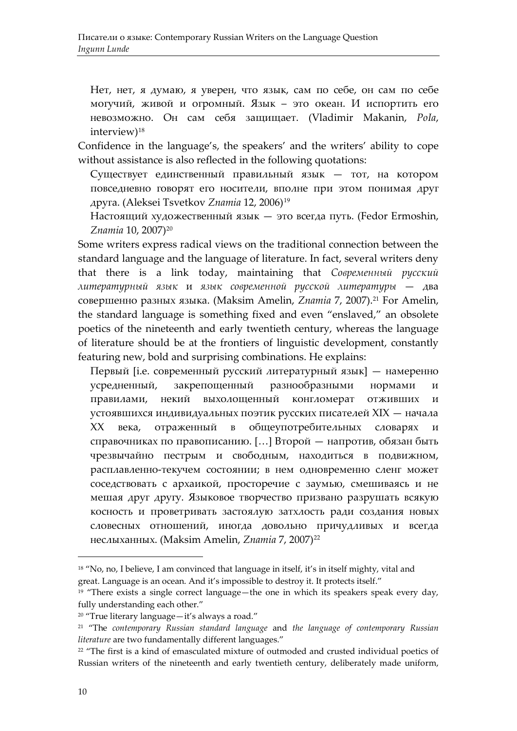Нет, нет, я думаю, я уверен, что язык, сам по себе, он сам по себе могучий, живой и огромный. Язык – это океан. И испортить его невозможно. Он сам себя защищает. (Vladimir Makanin, *PoIa*, interview)<sup>[18](#page-8-0)</sup>

Confidence in the language's, the speakers' and the writers' ability to cope without assistance is also reflected in the following quotations:

Существует единственный правильный язык — тот, на котором повседневно говорят его носители, вполне при этом понимая друг друга. (Aleksei Tsvetkov *Znamia* 12, 2006)<sup>[19](#page-8-1)</sup>

Настоящий художественный язык — это всегда путь. (Fedor Ermoshin, *Znamia* 10, 2007)[20](#page-8-2)

Some writers express radical views on the traditional connection between the standard language and the language of literature. In fact, several writers deny that there is a link today, maintaining that *Современный русский литературный язык* и *язык современной русской литературы* — два совершенно разных языка. (Maksim Amelin, *Znamia* 7, 2007).[21](#page-8-3) For Amelin, the standard language is something fixed and even "enslaved," an obsolete poetics of the nineteenth and early twentieth century, whereas the language of literature should be at the frontiers of linguistic development, constantly featuring new, bold and surprising combinations. He explains:

Первый [i.e. современный русский литературный язык] — намеренно усредненный, закрепощенный разнообразными нормами и правилами, некий выхолощенный конгломерат отживших и устоявшихся индивидуальных поэтик русских писателей XIX — начала XX века, отраженный в общеупотребительных словарях и справочниках по правописанию. […] Второй — напротив, обязан быть чрезвычайно пестрым и свободным, находиться в подвижном, расплавленно-текучем состоянии; в нем одновременно сленг может соседствовать с архаикой, просторечие с заумью, смешиваясь и не мешая друг другу. Языковое творчество призвано разрушать всякую косность и проветривать застоялую затхлость ради создания новых словесных отношений, иногда довольно причудливых и всегда неслыханных. (Maksim Amelin, *Znamia* 7, 2007)[22](#page-8-4)

<span id="page-8-2"></span><span id="page-8-1"></span><span id="page-8-0"></span><sup>&</sup>lt;sup>18</sup> "No, no, I believe, I am convinced that language in itself, it's in itself mighty, vital and great. Language is an ocean. And it's impossible to destroy it. It protects itself."

<span id="page-8-3"></span><sup>&</sup>lt;sup>19</sup> "There exists a single correct language—the one in which its speakers speak every day, fully understanding each other."

<span id="page-8-4"></span><sup>20</sup> "True literary language—it's always a road."

<sup>21</sup> "The *contemporary Russian standard language* and *the language of contemporary Russian literature* are two fundamentally different languages."

<sup>&</sup>lt;sup>22</sup> "The first is a kind of emasculated mixture of outmoded and crusted individual poetics of Russian writers of the nineteenth and early twentieth century, deliberately made uniform,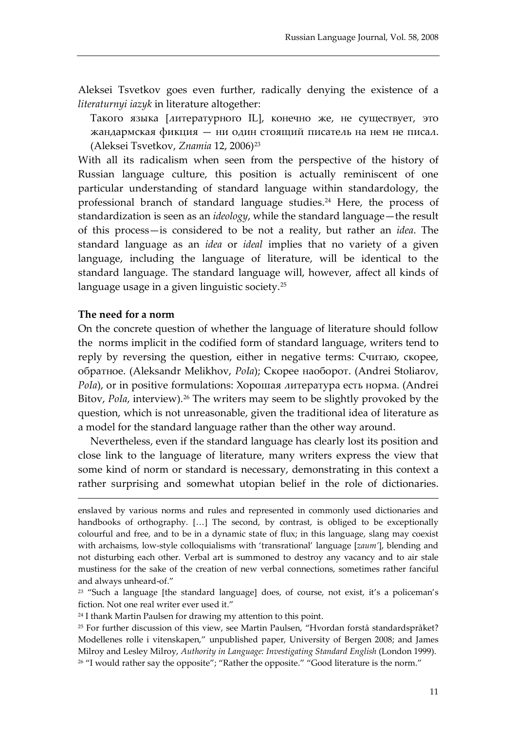Aleksei Tsvetkov goes even further, radically denying the existence of a *literaturnyi iazyk* in literature altogether:

Такого языка [литературного IL], конечно же, не существует, это жандармская фикция — ни один стоящий писатель на нем не писал. (Aleksei Tsvetkov, *Znamia* 12, 2006)[23](#page-9-0)

With all its radicalism when seen from the perspective of the history of Russian language culture, this position is actually reminiscent of one particular understanding of standard language within standardology, the professional branch of standard language studies.<sup>24</sup> Here, the process of standardization is seen as an *ideology*, while the standard language—the result of this process—is considered to be not a reality, but rather an *idea*. The standard language as an *idea* or *ideal* implies that no variety of a given language, including the language of literature, will be identical to the standard language. The standard language will, however, affect all kinds of language usage in a given linguistic society.[25](#page-9-2)

#### **The need for a norm**

-

On the concrete question of whether the language of literature should follow the norms implicit in the codified form of standard language, writers tend to reply by reversing the question, either in negative terms: Считаю, скорее, обратное. (Aleksandr Melikhov, *PoIa*); Скорее наоборот. (Andrei Stoliarov, *PoIa*), or in positive formulations: Хорошая литература есть норма. (Andrei Bitov, *PoIa*, interview).<sup>[26](#page-9-3)</sup> The writers may seem to be slightly provoked by the question, which is not unreasonable, given the traditional idea of literature as a model for the standard language rather than the other way around.

Nevertheless, even if the standard language has clearly lost its position and close link to the language of literature, many writers express the view that some kind of norm or standard is necessary, demonstrating in this context a rather surprising and somewhat utopian belief in the role of dictionaries.

enslaved by various norms and rules and represented in commonly used dictionaries and handbooks of orthography. […] The second, by contrast, is obliged to be exceptionally colourful and free, and to be in a dynamic state of flux; in this language, slang may coexist with archaisms, low-style colloquialisms with 'transrational' language [*zaum'*], blending and not disturbing each other. Verbal art is summoned to destroy any vacancy and to air stale mustiness for the sake of the creation of new verbal connections, sometimes rather fanciful and always unheard-of."

<span id="page-9-0"></span><sup>23</sup> "Such a language [the standard language] does, of course, not exist, it's a policeman's fiction. Not one real writer ever used it."

<span id="page-9-1"></span><sup>24</sup> I thank Martin Paulsen for drawing my attention to this point.

<span id="page-9-3"></span><span id="page-9-2"></span><sup>25</sup> For further discussion of this view, see Martin Paulsen, "Hvordan forstå standardspråket? Modellenes rolle i vitenskapen," unpublished paper, University of Bergen 2008; and James Milroy and Lesley Milroy, *Authority in Language: Investigating Standard English* (London 1999). <sup>26</sup> "I would rather say the opposite"; "Rather the opposite." "Good literature is the norm."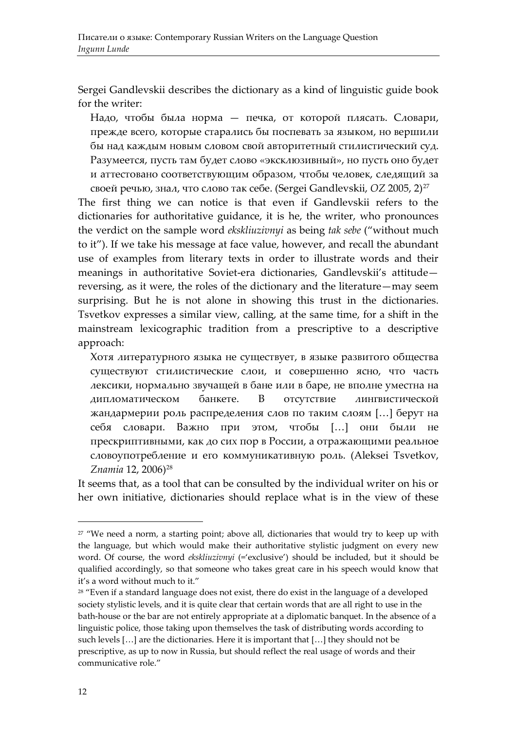Sergei Gandlevskii describes the dictionary as a kind of linguistic guide book for the writer:

Надо, чтобы была норма — печка, от которой плясать. Словари, прежде всего, которые старались бы поспевать за языком, но вершили бы над каждым новым словом свой авторитетный стилистический суд. Разумеется, пусть там будет слово «эксклюзивный», но пусть оно будет и аттестовано соответствующим образом, чтобы человек, следящий за своей речью, знал, что слово так себе. (Sergei Gandlevskii, *OZ* 2005, 2)[27](#page-10-0)

The first thing we can notice is that even if Gandlevskii refers to the dictionaries for authoritative guidance, it is he, the writer, who pronounces the verdict on the sample word *ekskliuzivnyi* as being *tak sebe* ("without much to it"). If we take his message at face value, however, and recall the abundant use of examples from literary texts in order to illustrate words and their meanings in authoritative Soviet-era dictionaries, Gandlevskii's attitude reversing, as it were, the roles of the dictionary and the literature—may seem surprising. But he is not alone in showing this trust in the dictionaries. Tsvetkov expresses a similar view, calling, at the same time, for a shift in the mainstream lexicographic tradition from a prescriptive to a descriptive approach:

Хотя литературного языка не существует, в языке развитого общества существуют стилистические слои, и совершенно ясно, что часть лексики, нормально звучащей в бане или в баре, не вполне уместна на дипломатическом банкете. В отсутствие лингвистической жандармерии роль распределения слов по таким слоям […] берут на себя словари. Важно при этом, чтобы […] они были не прескриптивными, как до сих пор в России, а отражающими реальное словоупотребление и его коммуникативную роль. (Aleksei Tsvetkov, *Znamia* 12, 2006)[28](#page-10-1)

It seems that, as a tool that can be consulted by the individual writer on his or her own initiative, dictionaries should replace what is in the view of these

<span id="page-10-0"></span><sup>&</sup>lt;sup>27</sup> "We need a norm, a starting point; above all, dictionaries that would try to keep up with the language, but which would make their authoritative stylistic judgment on every new word. Of course, the word *ekskliuzivnyi* (='exclusive') should be included, but it should be qualified accordingly, so that someone who takes great care in his speech would know that it's a word without much to it."

<span id="page-10-1"></span><sup>&</sup>lt;sup>28</sup> "Even if a standard language does not exist, there do exist in the language of a developed society stylistic levels, and it is quite clear that certain words that are all right to use in the bath-house or the bar are not entirely appropriate at a diplomatic banquet. In the absence of a linguistic police, those taking upon themselves the task of distributing words according to such levels […] are the dictionaries. Here it is important that […] they should not be prescriptive, as up to now in Russia, but should reflect the real usage of words and their communicative role."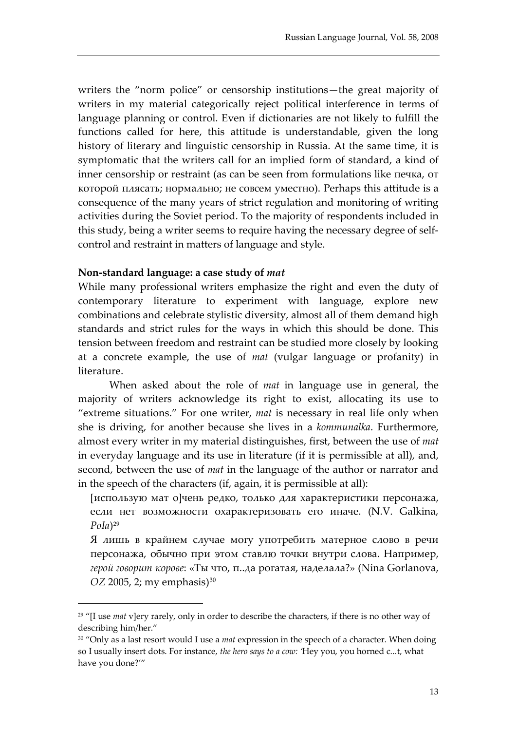writers the "norm police" or censorship institutions—the great majority of writers in my material categorically reject political interference in terms of language planning or control. Even if dictionaries are not likely to fulfill the functions called for here, this attitude is understandable, given the long history of literary and linguistic censorship in Russia. At the same time, it is symptomatic that the writers call for an implied form of standard, a kind of inner censorship or restraint (as can be seen from formulations like печка, от которой плясать; нормально; не совсем уместно). Perhaps this attitude is a consequence of the many years of strict regulation and monitoring of writing activities during the Soviet period. To the majority of respondents included in this study, being a writer seems to require having the necessary degree of selfcontrol and restraint in matters of language and style.

#### **Non-standard language: a case study of** *mat*

-

While many professional writers emphasize the right and even the duty of contemporary literature to experiment with language, explore new combinations and celebrate stylistic diversity, almost all of them demand high standards and strict rules for the ways in which this should be done. This tension between freedom and restraint can be studied more closely by looking at a concrete example, the use of *mat* (vulgar language or profanity) in literature.

When asked about the role of *mat* in language use in general, the majority of writers acknowledge its right to exist, allocating its use to "extreme situations." For one writer, *mat* is necessary in real life only when she is driving, for another because she lives in a *kommunalka*. Furthermore, almost every writer in my material distinguishes, first, between the use of *mat* in everyday language and its use in literature (if it is permissible at all), and, second, between the use of *mat* in the language of the author or narrator and in the speech of the characters (if, again, it is permissible at all):

[использую мат o]чень редко, только для характеристики персонажа, если нет возможности охарактеризовать его иначе. (N.V. Galkina,  $Pola)^{29}$  $Pola)^{29}$  $Pola)^{29}$ 

Я лишь в крайнем случае могу употребить матерное слово в речи персонажа, обычно при этом ставлю точки внутри слова. Например, *герой говорит корове*: «Ты что, п..да рогатая, наделала?» (Nina Gorlanova, *OZ* 2005, 2; my emphasis)<sup>[30](#page-11-1)</sup>

<span id="page-11-0"></span><sup>29</sup> "[I use *mat* v]ery rarely, only in order to describe the characters, if there is no other way of describing him/her."

<span id="page-11-1"></span><sup>30</sup> "Only as a last resort would I use a *mat* expression in the speech of a character. When doing so I usually insert dots. For instance, *the hero says to a cow: '*Hey you, you horned c...t, what have you done?'"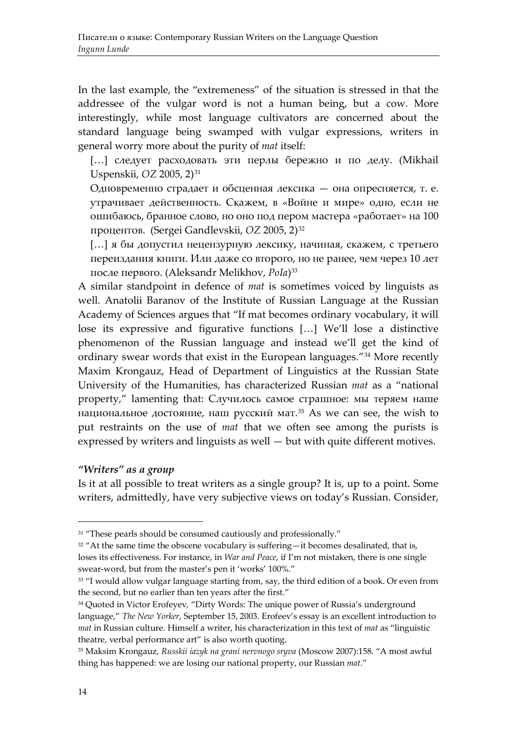In the last example, the "extremeness" of the situation is stressed in that the addressee of the vulgar word is not a human being, but a cow. More interestingly, while most language cultivators are concerned about the standard language being swamped with vulgar expressions, writers in general worry more about the purity of *mat* itself:

[...] следует расходовать эти перлы бережно и по делу. (Mikhail Uspenskii, *OZ* 2005, 2)<sup>[31](#page-12-0)</sup>

Одновременно страдает и обсценная лексика — она опресняется, т. е. утрачивает действенность. Скажем, в «Войне и мире» одно, если не ошибаюсь, бранное слово, но оно под пером мастера «работает» на 100 процентов. (Sergei Gandlevskii, *OZ* 2005, 2)[32](#page-12-1)

[…] я бы допустил нецензурную лексику, начиная, скажем, с третьего переиздания книги. Или даже со второго, но не ранее, чем через 10 лет после первого. (Aleksandr Melikhov, *PoIa*)[33](#page-12-2)

A similar standpoint in defence of *mat* is sometimes voiced by linguists as well. Anatolii Baranov of the Institute of Russian Language at the Russian Academy of Sciences argues that "If mat becomes ordinary vocabulary, it will lose its expressive and figurative functions […] We'll lose a distinctive phenomenon of the Russian language and instead we'll get the kind of ordinary swear words that exist in the European languages."[34](#page-12-3) More recently Maxim Krongauz, Head of Department of Linguistics at the Russian State University of the Humanities, has characterized Russian *mat* as a "national property," lamenting that: Случилось самое страшное: мы теряем наше национальное достояние, наш русский мат. $35$  As we can see, the wish to put restraints on the use of *mat* that we often see among the purists is expressed by writers and linguists as well — but with quite different motives.

#### *"Writers" as a group*

Is it at all possible to treat writers as a single group? It is, up to a point. Some writers, admittedly, have very subjective views on today's Russian. Consider,

<span id="page-12-1"></span><span id="page-12-0"></span><sup>&</sup>lt;sup>31</sup> "These pearls should be consumed cautiously and professionally."

<sup>&</sup>lt;sup>32</sup> "At the same time the obscene vocabulary is suffering—it becomes desalinated, that is, loses its effectiveness. For instance, in *War and Peace*, if I'm not mistaken, there is one single swear-word, but from the master's pen it 'works' 100%."

<span id="page-12-3"></span><span id="page-12-2"></span><sup>&</sup>lt;sup>33</sup> "I would allow vulgar language starting from, say, the third edition of a book. Or even from the second, but no earlier than ten years after the first."

<sup>&</sup>lt;sup>34</sup> Quoted in Victor Erofeyev, "Dirty Words: The unique power of Russia's underground language," *The New Yorker*, September 15, 2003. Erofeev's essay is an excellent introduction to *mat* in Russian culture. Himself a writer, his characterization in this text of *mat* as "linguistic theatre, verbal performance art" is also worth quoting.

<span id="page-12-5"></span><span id="page-12-4"></span><sup>35</sup> Maksim Krongauz, *Russkii iazyk na grani nervnogo sryva* (Moscow 2007):158. "A most awful thing has happened: we are losing our national property, our Russian *mat*."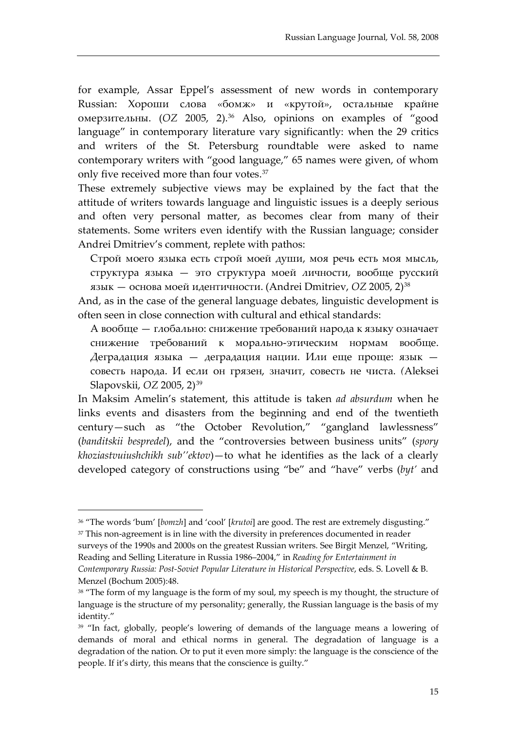for example, Assar Eppel's assessment of new words in contemporary Russian: Хороши слова «бомж» и «крутой», остальные крайне омерзительны. (*OZ* 2005, 2).[36](#page-12-5) Also, opinions on examples of "good language" in contemporary literature vary significantly: when the 29 critics and writers of the St. Petersburg roundtable were asked to name contemporary writers with "good language," 65 names were given, of whom only five received more than four votes.<sup>[37](#page-13-0)</sup>

These extremely subjective views may be explained by the fact that the attitude of writers towards language and linguistic issues is a deeply serious and often very personal matter, as becomes clear from many of their statements. Some writers even identify with the Russian language; consider Andrei Dmitriev's comment, replete with pathos:

Строй моего языка есть строй моей души, моя речь есть моя мысль, структура языка — это структура моей личности, вообще русский язык — основа моей идентичности. (Andrei Dmitriev, *OZ* 2005, 2)[38](#page-13-1)

And, as in the case of the general language debates, linguistic development is often seen in close connection with cultural and ethical standards:

А вообще — глобально: снижение требований народа к языку означает снижение требований к морально-этическим нормам вообще. Деградация языка — деградация нации. Или еще проще: язык совесть народа. И если он грязен, значит, совесть не чиста. *(*Aleksei Slapovskii, *OZ* 2005, 2)[39](#page-13-2)

In Maksim Amelin's statement, this attitude is taken *ad absurdum* when he links events and disasters from the beginning and end of the twentieth century—such as "the October Revolution," "gangland lawlessness" (*banditskii bespredel*), and the "controversies between business units" (*spory khoziastvuiushchikh sub''ektov*)—to what he identifies as the lack of a clearly developed category of constructions using "be" and "have" verbs (*byt'* and

<sup>36</sup> "The words 'bum' [*bomzh*] and 'cool' [*krutoi*] are good. The rest are extremely disgusting." <sup>37</sup> This non-agreement is in line with the diversity in preferences documented in reader

<span id="page-13-0"></span>surveys of the 1990s and 2000s on the greatest Russian writers. See Birgit Menzel, "Writing, Reading and Selling Literature in Russia 1986–2004," in *Reading for Entertainment in* 

*Contemporary Russia: Post-Soviet Popular Literature in Historical Perspective*, eds. S. Lovell & B. Menzel (Bochum 2005):48.

<span id="page-13-1"></span><sup>&</sup>lt;sup>38</sup> "The form of my language is the form of my soul, my speech is my thought, the structure of language is the structure of my personality; generally, the Russian language is the basis of my identity."

<span id="page-13-2"></span><sup>39</sup> "In fact, globally, people's lowering of demands of the language means a lowering of demands of moral and ethical norms in general. The degradation of language is a degradation of the nation. Or to put it even more simply: the language is the conscience of the people. If it's dirty, this means that the conscience is guilty."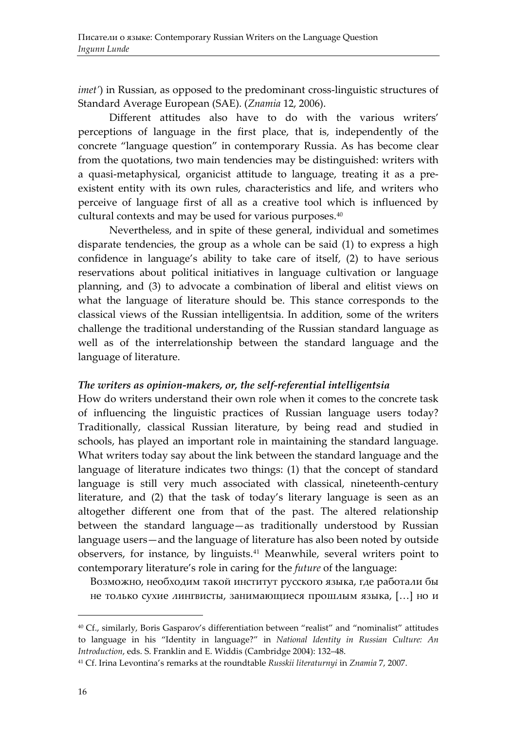*imet'*) in Russian, as opposed to the predominant cross-linguistic structures of Standard Average European (SAE). (*Znamia* 12, 2006).

Different attitudes also have to do with the various writers' perceptions of language in the first place, that is, independently of the concrete "language question" in contemporary Russia. As has become clear from the quotations, two main tendencies may be distinguished: writers with a quasi-metaphysical, organicist attitude to language, treating it as a preexistent entity with its own rules, characteristics and life, and writers who perceive of language first of all as a creative tool which is influenced by cultural contexts and may be used for various purposes.<sup>[40](#page-14-0)</sup>

Nevertheless, and in spite of these general, individual and sometimes disparate tendencies, the group as a whole can be said (1) to express a high confidence in language's ability to take care of itself, (2) to have serious reservations about political initiatives in language cultivation or language planning, and (3) to advocate a combination of liberal and elitist views on what the language of literature should be. This stance corresponds to the classical views of the Russian intelligentsia. In addition, some of the writers challenge the traditional understanding of the Russian standard language as well as of the interrelationship between the standard language and the language of literature.

#### *The writers as opinion-makers, or, the self-referential intelligentsia*

How do writers understand their own role when it comes to the concrete task of influencing the linguistic practices of Russian language users today? Traditionally, classical Russian literature, by being read and studied in schools, has played an important role in maintaining the standard language. What writers today say about the link between the standard language and the language of literature indicates two things: (1) that the concept of standard language is still very much associated with classical, nineteenth-century literature, and (2) that the task of today's literary language is seen as an altogether different one from that of the past. The altered relationship between the standard language—as traditionally understood by Russian language users—and the language of literature has also been noted by outside observers, for instance, by linguists.[41](#page-14-1) Meanwhile, several writers point to contemporary literature's role in caring for the *future* of the language:

Возможно, необходим такой институт русского языка, где работали бы не только сухие лингвисты, занимающиеся прошлым языка, […] но и

<span id="page-14-2"></span><span id="page-14-1"></span><span id="page-14-0"></span><sup>40</sup> Cf., similarly, Boris Gasparov's differentiation between "realist" and "nominalist" attitudes to language in his "Identity in language?" in *National Identity in Russian Culture: An Introduction*, eds. S. Franklin and E. Widdis (Cambridge 2004): 132–48.

<sup>41</sup> Cf. Irina Levontina's remarks at the roundtable *Russkii literaturnyi* in *Znamia* 7, 2007.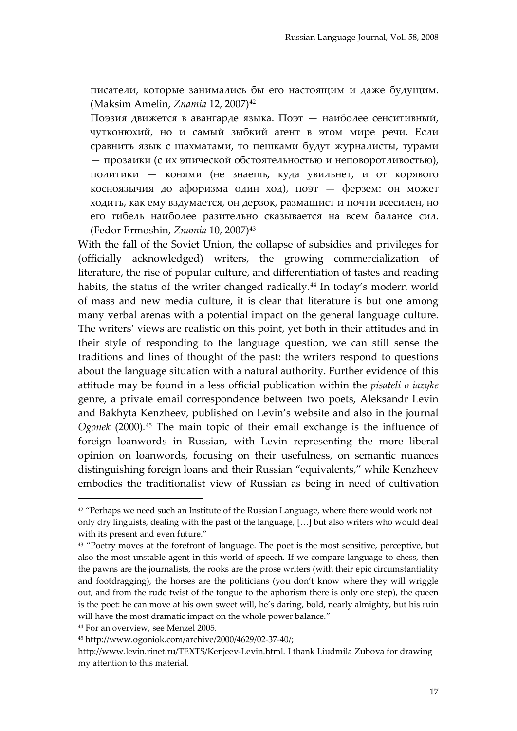писатели, которые занимались бы его настоящим и даже будущим. (Maksim Amelin, *Znamia* 12, 2007)[42](#page-14-2)

Поэзия движется в авангарде языка. Поэт — наиболее сенситивный, чутконюхий, но и самый зыбкий агент в этом мире речи. Если сравнить язык с шахматами, то пешками будут журналисты, турами — прозаики (с их эпической обстоятельностью и неповоротливостью), политики — конями (не знаешь, куда увильнет, и от корявого косноязычия до афоризма один ход), поэт — ферзем: он может ходить, как ему вздумается, он дерзок, размашист и почти всесилен, но его гибель наиболее разительно сказывается на всем балансе сил. (Fedor Ermoshin, *Znamia* 10, 2007)[43](#page-15-0)

With the fall of the Soviet Union, the collapse of subsidies and privileges for (officially acknowledged) writers, the growing commercialization of literature, the rise of popular culture, and differentiation of tastes and reading habits, the status of the writer changed radically.<sup>[44](#page-15-1)</sup> In today's modern world of mass and new media culture, it is clear that literature is but one among many verbal arenas with a potential impact on the general language culture. The writers' views are realistic on this point, yet both in their attitudes and in their style of responding to the language question, we can still sense the traditions and lines of thought of the past: the writers respond to questions about the language situation with a natural authority. Further evidence of this attitude may be found in a less official publication within the *pisateli o iazyke* genre, a private email correspondence between two poets, Aleksandr Levin and Bakhyta Kenzheev, published on Levin's website and also in the journal *Ogonek* (2000)*.* [45](#page-15-2) The main topic of their email exchange is the influence of foreign loanwords in Russian, with Levin representing the more liberal opinion on loanwords, focusing on their usefulness, on semantic nuances distinguishing foreign loans and their Russian "equivalents," while Kenzheev embodies the traditionalist view of Russian as being in need of cultivation

<span id="page-15-0"></span><sup>&</sup>lt;sup>42</sup> "Perhaps we need such an Institute of the Russian Language, where there would work not only dry linguists, dealing with the past of the language, […] but also writers who would deal with its present and even future."

<sup>&</sup>lt;sup>43</sup> "Poetry moves at the forefront of language. The poet is the most sensitive, perceptive, but also the most unstable agent in this world of speech. If we compare language to chess, then the pawns are the journalists, the rooks are the prose writers (with their epic circumstantiality and footdragging), the horses are the politicians (you don't know where they will wriggle out, and from the rude twist of the tongue to the aphorism there is only one step), the queen is the poet: he can move at his own sweet will, he's daring, bold, nearly almighty, but his ruin will have the most dramatic impact on the whole power balance."

<span id="page-15-2"></span><span id="page-15-1"></span><sup>44</sup> For an overview, see Menzel 2005.

<sup>45</sup> http://www.ogoniok.com/archive/2000/4629/02-37-40/;

<span id="page-15-3"></span>http://www.levin.rinet.ru/TEXTS/Kenjeev-Levin.html. I thank Liudmila Zubova for drawing my attention to this material.